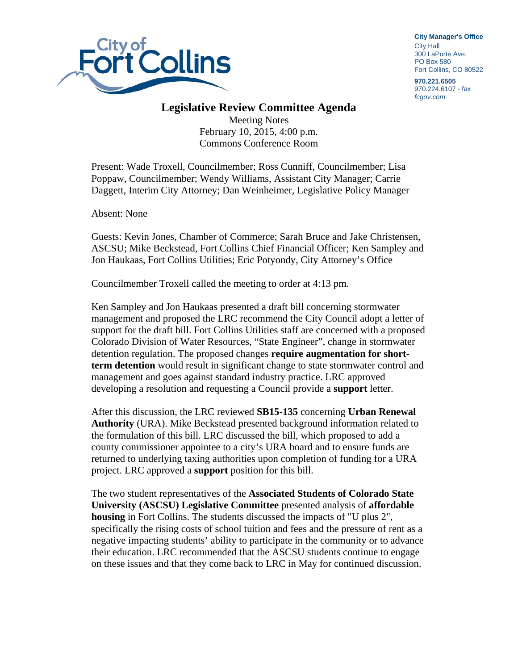

**City Manager**'**s Office** City Hall 300 LaPorte Ave. PO Box 580 Fort Collins, CO 80522

**970.221.6505**  970.224.6107 - fax *fcgov.com* 

## **Legislative Review Committee Agenda**

Meeting Notes February 10, 2015, 4:00 p.m. Commons Conference Room

Present: Wade Troxell, Councilmember; Ross Cunniff, Councilmember; Lisa Poppaw, Councilmember; Wendy Williams, Assistant City Manager; Carrie Daggett, Interim City Attorney; Dan Weinheimer, Legislative Policy Manager

Absent: None

Guests: Kevin Jones, Chamber of Commerce; Sarah Bruce and Jake Christensen, ASCSU; Mike Beckstead, Fort Collins Chief Financial Officer; Ken Sampley and Jon Haukaas, Fort Collins Utilities; Eric Potyondy, City Attorney's Office

Councilmember Troxell called the meeting to order at 4:13 pm.

Ken Sampley and Jon Haukaas presented a draft bill concerning stormwater management and proposed the LRC recommend the City Council adopt a letter of support for the draft bill. Fort Collins Utilities staff are concerned with a proposed Colorado Division of Water Resources, "State Engineer", change in stormwater detention regulation. The proposed changes **require augmentation for shortterm detention** would result in significant change to state stormwater control and management and goes against standard industry practice. LRC approved developing a resolution and requesting a Council provide a **support** letter.

After this discussion, the LRC reviewed **SB15-135** concerning **Urban Renewal Authority** (URA). Mike Beckstead presented background information related to the formulation of this bill. LRC discussed the bill, which proposed to add a county commissioner appointee to a city's URA board and to ensure funds are returned to underlying taxing authorities upon completion of funding for a URA project. LRC approved a **support** position for this bill.

The two student representatives of the **Associated Students of Colorado State University (ASCSU) Legislative Committee** presented analysis of **affordable housing** in Fort Collins. The students discussed the impacts of "U plus 2", specifically the rising costs of school tuition and fees and the pressure of rent as a negative impacting students' ability to participate in the community or to advance their education. LRC recommended that the ASCSU students continue to engage on these issues and that they come back to LRC in May for continued discussion.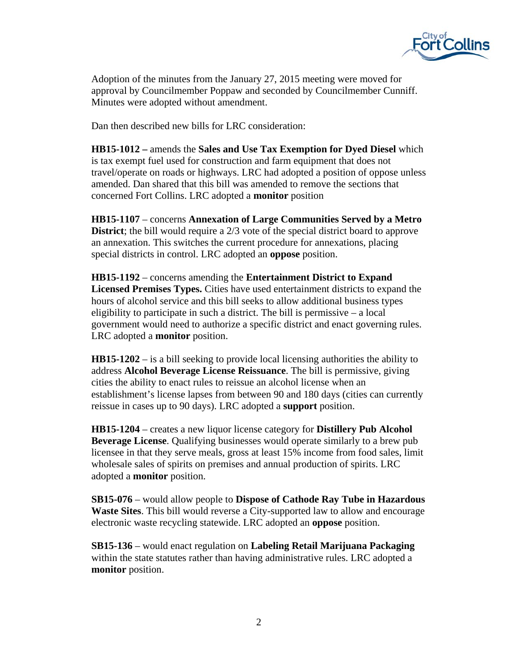

Adoption of the minutes from the January 27, 2015 meeting were moved for approval by Councilmember Poppaw and seconded by Councilmember Cunniff. Minutes were adopted without amendment.

Dan then described new bills for LRC consideration:

**HB15-1012 –** amends the **Sales and Use Tax Exemption for Dyed Diesel** which is tax exempt fuel used for construction and farm equipment that does not travel/operate on roads or highways. LRC had adopted a position of oppose unless amended. Dan shared that this bill was amended to remove the sections that concerned Fort Collins. LRC adopted a **monitor** position

**HB15-1107** – concerns **Annexation of Large Communities Served by a Metro District**; the bill would require a 2/3 vote of the special district board to approve an annexation. This switches the current procedure for annexations, placing special districts in control. LRC adopted an **oppose** position.

**HB15-1192** – concerns amending the **Entertainment District to Expand Licensed Premises Types.** Cities have used entertainment districts to expand the hours of alcohol service and this bill seeks to allow additional business types eligibility to participate in such a district. The bill is permissive – a local government would need to authorize a specific district and enact governing rules. LRC adopted a **monitor** position.

**HB15-1202** – is a bill seeking to provide local licensing authorities the ability to address **Alcohol Beverage License Reissuance**. The bill is permissive, giving cities the ability to enact rules to reissue an alcohol license when an establishment's license lapses from between 90 and 180 days (cities can currently reissue in cases up to 90 days). LRC adopted a **support** position.

**HB15-1204** – creates a new liquor license category for **Distillery Pub Alcohol Beverage License**. Qualifying businesses would operate similarly to a brew pub licensee in that they serve meals, gross at least 15% income from food sales, limit wholesale sales of spirits on premises and annual production of spirits. LRC adopted a **monitor** position.

**SB15-076** – would allow people to **Dispose of Cathode Ray Tube in Hazardous Waste Sites**. This bill would reverse a City-supported law to allow and encourage electronic waste recycling statewide. LRC adopted an **oppose** position.

**SB15-136** – would enact regulation on **Labeling Retail Marijuana Packaging** within the state statutes rather than having administrative rules. LRC adopted a **monitor** position.